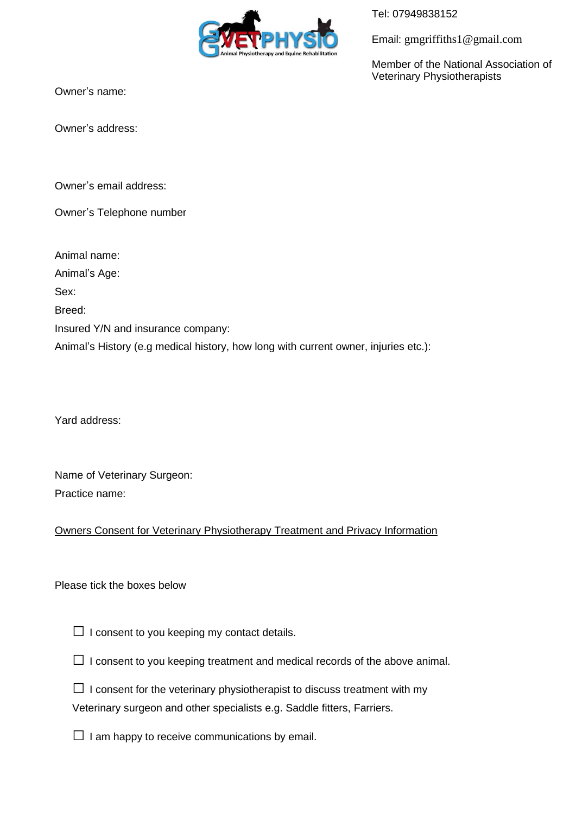

Tel: 07949838152

Email: gmgriffiths1@gmail.com

Member of the National Association of Veterinary Physiotherapists

Owner's name:

Owner's address:

Owner's email address:

Owner's Telephone number

Animal name:

Animal's Age:

Sex:

Breed:

Insured Y/N and insurance company:

Animal's History (e.g medical history, how long with current owner, injuries etc.):

Yard address:

Name of Veterinary Surgeon: Practice name:

## Owners Consent for Veterinary Physiotherapy Treatment and Privacy Information

## Please tick the boxes below

 $\Box$  I consent to you keeping my contact details.

| $\Box$ I consent to you keeping treatment and medical records of the above animal |  |
|-----------------------------------------------------------------------------------|--|
|-----------------------------------------------------------------------------------|--|

 $\square$  I consent for the veterinary physiotherapist to discuss treatment with my Veterinary surgeon and other specialists e.g. Saddle fitters, Farriers.

 $\Box$  I am happy to receive communications by email.